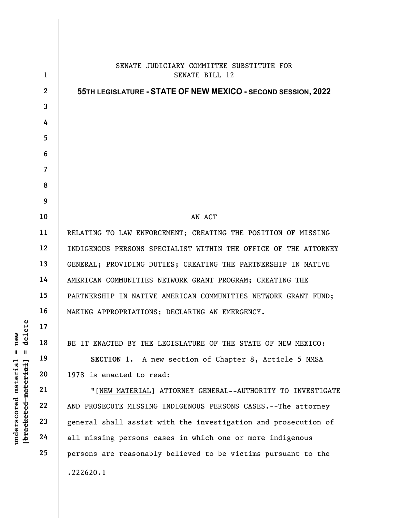| $_{\rm \texttt{e} 1 \texttt{e} \texttt{t} \texttt{e}}$<br>new<br>᠊ᠣ<br>$\mathsf{I}$<br>Ш<br><u>material</u><br>[bracketed material]<br>underscored | $\mathbf{1}$   | SENATE JUDICIARY COMMITTEE SUBSTITUTE FOR<br>SENATE BILL 12     |
|----------------------------------------------------------------------------------------------------------------------------------------------------|----------------|-----------------------------------------------------------------|
|                                                                                                                                                    | $\mathbf{2}$   | 55TH LEGISLATURE - STATE OF NEW MEXICO - SECOND SESSION, 2022   |
|                                                                                                                                                    | $\mathbf{3}$   |                                                                 |
|                                                                                                                                                    | 4              |                                                                 |
|                                                                                                                                                    | 5              |                                                                 |
|                                                                                                                                                    | 6              |                                                                 |
|                                                                                                                                                    | $\overline{7}$ |                                                                 |
|                                                                                                                                                    | 8              |                                                                 |
|                                                                                                                                                    | 9              |                                                                 |
|                                                                                                                                                    | 10             | AN ACT                                                          |
|                                                                                                                                                    | 11             | RELATING TO LAW ENFORCEMENT; CREATING THE POSITION OF MISSING   |
|                                                                                                                                                    | 12             | INDIGENOUS PERSONS SPECIALIST WITHIN THE OFFICE OF THE ATTORNEY |
|                                                                                                                                                    | 13             | GENERAL; PROVIDING DUTIES; CREATING THE PARTNERSHIP IN NATIVE   |
|                                                                                                                                                    | 14             | AMERICAN COMMUNITIES NETWORK GRANT PROGRAM; CREATING THE        |
|                                                                                                                                                    | 15             | PARTNERSHIP IN NATIVE AMERICAN COMMUNITIES NETWORK GRANT FUND;  |
|                                                                                                                                                    | 16             | MAKING APPROPRIATIONS; DECLARING AN EMERGENCY.                  |
|                                                                                                                                                    | 17             |                                                                 |
|                                                                                                                                                    | 18             | BE IT ENACTED BY THE LEGISLATURE OF THE STATE OF NEW MEXICO:    |
|                                                                                                                                                    | 19             | SECTION 1. A new section of Chapter 8, Article 5 NMSA           |
|                                                                                                                                                    | 20             | 1978 is enacted to read:                                        |
|                                                                                                                                                    | 21             | "[NEW MATERIAL] ATTORNEY GENERAL--AUTHORITY TO INVESTIGATE      |
|                                                                                                                                                    | 22             | AND PROSECUTE MISSING INDIGENOUS PERSONS CASES.--The attorney   |
|                                                                                                                                                    | 23             | general shall assist with the investigation and prosecution of  |
|                                                                                                                                                    | 24             | all missing persons cases in which one or more indigenous       |
|                                                                                                                                                    | 25             | persons are reasonably believed to be victims pursuant to the   |
|                                                                                                                                                    |                | .222620.1                                                       |
|                                                                                                                                                    |                |                                                                 |

 $\mathsf{I}$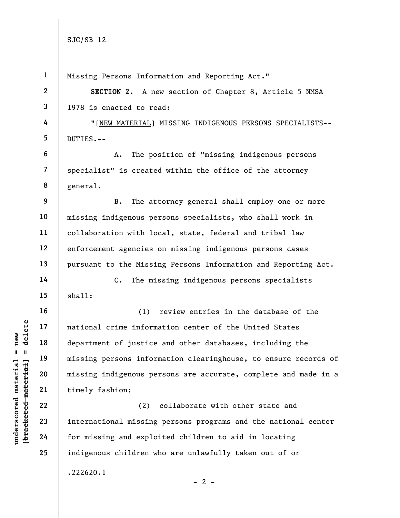|                                             | $\mathbf{1}$   | Missing Persons Information and Reporting Act."                 |
|---------------------------------------------|----------------|-----------------------------------------------------------------|
|                                             | $\mathbf{2}$   | SECTION 2. A new section of Chapter 8, Article 5 NMSA           |
|                                             | 3              | 1978 is enacted to read:                                        |
|                                             | 4              | "[NEW MATERIAL] MISSING INDIGENOUS PERSONS SPECIALISTS--        |
|                                             | 5              | DUTIES.--                                                       |
|                                             | 6              | The position of "missing indigenous persons<br>Α.               |
|                                             | $\overline{7}$ | specialist" is created within the office of the attorney        |
|                                             | 8              | general.                                                        |
|                                             | 9              | The attorney general shall employ one or more<br><b>B.</b>      |
|                                             | 10             | missing indigenous persons specialists, who shall work in       |
|                                             | 11             | collaboration with local, state, federal and tribal law         |
|                                             | 12             | enforcement agencies on missing indigenous persons cases        |
|                                             | 13             | pursuant to the Missing Persons Information and Reporting Act.  |
|                                             | 14             | The missing indigenous persons specialists<br>$C$ .             |
|                                             | 15             | shall:                                                          |
|                                             | 16             | review entries in the database of the<br>(1)                    |
| delete                                      | 17             | national crime information center of the United States          |
| $n$ ew                                      | 18             | department of justice and other databases, including the        |
| Ш<br>ш                                      | 19             | missing persons information clearinghouse, to ensure records of |
|                                             | 20             | missing indigenous persons are accurate, complete and made in a |
| underscored material<br>[bracketed material | 21             | timely fashion;                                                 |
|                                             | 22             | collaborate with other state and<br>(2)                         |
|                                             | 23             | international missing persons programs and the national center  |
|                                             | 24             | for missing and exploited children to aid in locating           |
|                                             | 25             | indigenous children who are unlawfully taken out of or          |
|                                             |                | .222620.1                                                       |

- 2 -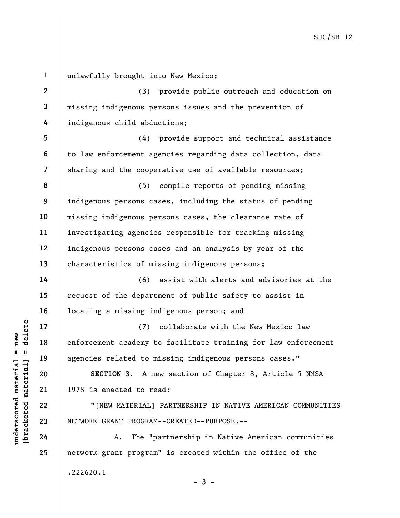UNDERTIES TO MATERIAL TO THE MATERIAL POSTS CRANT PROGRAM<br>
UNDERGRANT PROGRAM<br>
UNDERGRANT PROGRAM<br>
UNDERGRANT PROGRAM<br>
UNDERGRANT PROGRAM<br>
UNDERGRANT PROGRAM<br>
UNDERGRANT PROGRAM<br>
UNDERGRANT PROGRAM<br>
UNDERGRANT PROGRAM<br>
UND 1 2 3 4 5 6 7 8 9 10 11 12 13 14 15 16 17 18 19 20 21 22 23 24 25 unlawfully brought into New Mexico; (3) provide public outreach and education on missing indigenous persons issues and the prevention of indigenous child abductions; (4) provide support and technical assistance to law enforcement agencies regarding data collection, data sharing and the cooperative use of available resources; (5) compile reports of pending missing indigenous persons cases, including the status of pending missing indigenous persons cases, the clearance rate of investigating agencies responsible for tracking missing indigenous persons cases and an analysis by year of the characteristics of missing indigenous persons; (6) assist with alerts and advisories at the request of the department of public safety to assist in locating a missing indigenous person; and (7) collaborate with the New Mexico law enforcement academy to facilitate training for law enforcement agencies related to missing indigenous persons cases." SECTION 3. A new section of Chapter 8, Article 5 NMSA 1978 is enacted to read: "[NEW MATERIAL] PARTNERSHIP IN NATIVE AMERICAN COMMUNITIES NETWORK GRANT PROGRAM--CREATED--PURPOSE.-- A. The "partnership in Native American communities network grant program" is created within the office of the

 $-3 -$ 

.222620.1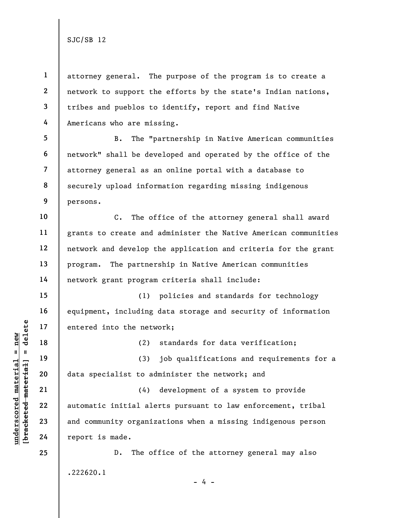1 2 3 4 attorney general. The purpose of the program is to create a network to support the efforts by the state's Indian nations, tribes and pueblos to identify, report and find Native Americans who are missing.

5 6 7 8 9 B. The "partnership in Native American communities network" shall be developed and operated by the office of the attorney general as an online portal with a database to securely upload information regarding missing indigenous persons.

C. The office of the attorney general shall award grants to create and administer the Native American communities network and develop the application and criteria for the grant program. The partnership in Native American communities network grant program criteria shall include:

(1) policies and standards for technology equipment, including data storage and security of information entered into the network;

(2) standards for data verification;

(3) job qualifications and requirements for a data specialist to administer the network; and

underscored into the network of the set of the set of the set of the set of the set of the set of the set of the set of the set of the set of the set of the set of the set of the set of the set of the set of the set of the (4) development of a system to provide automatic initial alerts pursuant to law enforcement, tribal and community organizations when a missing indigenous person report is made.

> D. The office of the attorney general may also .222620.1

> > - 4 -

10

11

12

13

14

15

16

17

18

19

20

21

22

23

24

25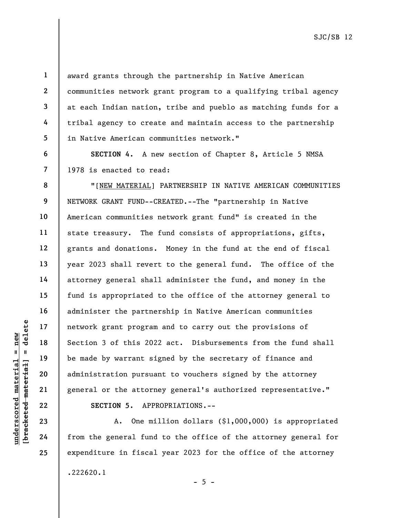2 3 4

5

6

7

8

9

10

11

12

13

14

15

16

17

18

19

20

21

22

23

24

25

1

award grants through the partnership in Native American communities network grant program to a qualifying tribal agency at each Indian nation, tribe and pueblo as matching funds for a tribal agency to create and maintain access to the partnership in Native American communities network."

SECTION 4. A new section of Chapter 8, Article 5 NMSA 1978 is enacted to read:

underscored material = new [bracketed material] = delete "[NEW MATERIAL] PARTNERSHIP IN NATIVE AMERICAN COMMUNITIES NETWORK GRANT FUND--CREATED.--The "partnership in Native American communities network grant fund" is created in the state treasury. The fund consists of appropriations, gifts, grants and donations. Money in the fund at the end of fiscal year 2023 shall revert to the general fund. The office of the attorney general shall administer the fund, and money in the fund is appropriated to the office of the attorney general to administer the partnership in Native American communities network grant program and to carry out the provisions of Section 3 of this 2022 act. Disbursements from the fund shall be made by warrant signed by the secretary of finance and administration pursuant to vouchers signed by the attorney general or the attorney general's authorized representative." SECTION 5. APPROPRIATIONS.--

A. One million dollars (\$1,000,000) is appropriated from the general fund to the office of the attorney general for expenditure in fiscal year 2023 for the office of the attorney .222620.1

 $- 5 -$